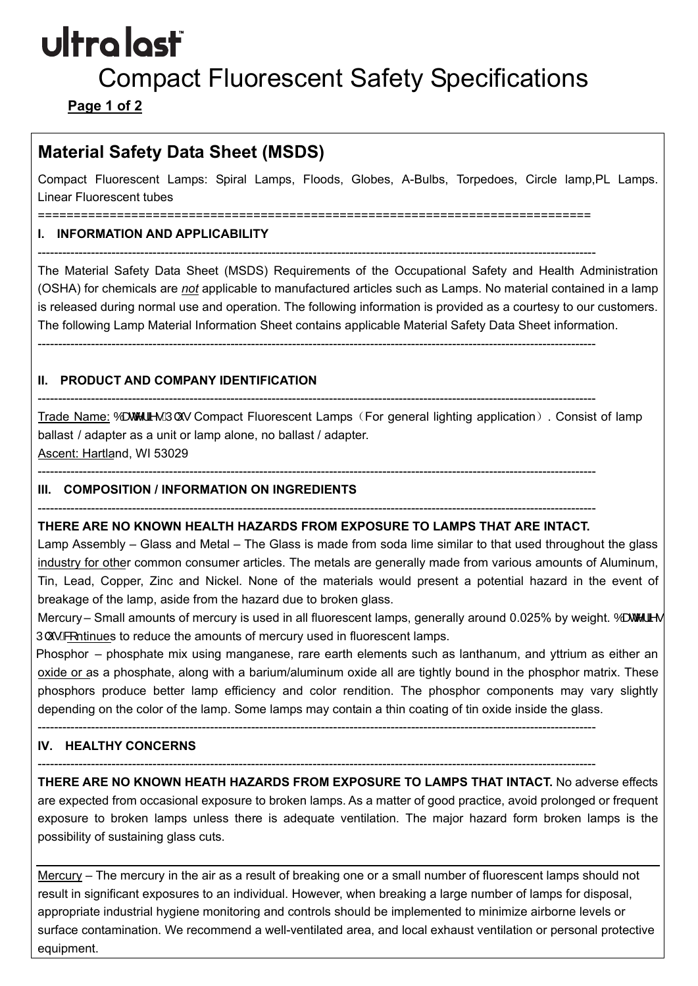# ultra last

## Compact Fluorescent Safety Specifications

**Page 1 of 2** 

### **Material Safety Data Sheet (MSDS)**

Compact Fluorescent Lamps: Spiral Lamps, Floods, Globes, A-Bulbs, Torpedoes, Circle lamp,PL Lamps. Linear Fluorescent tubes

==========================

----------------------------------------------------------------------------------------------------------------------------------------

----------------------------------------------------------------------------------------------------------------------------------------

#### **I. INFORMATION AND APPLICABILITY**

 The Material Safety Data Sheet (MSDS) Requirements of the Occupational Safety and Health Administration is released during normal use and operation. The following information is provided as a courtesy to our customers. ---------------------------------------------------------------------------------------------------------------------------------------- (OSHA) for chemicals are *not* applicable to manufactured articles such as Lamps. No material contained in a lamp The following Lamp Material Information Sheet contains applicable Material Safety Data Sheet information.

#### **II. PRODUCT AND COMPANY IDENTIFICATION**

Trade Name: %DWMLHV3OXV Compact Fluorescent Lamps (For general lighting application). Consist of lamp ballast / adapter as a unit or lamp alone, no ballast / adapter.

Ascent: Hartland, WI 53029

#### **III. COMPOSITION / INFORMATION ON INGREDIENTS**

#### ---------------------------------------------------------------------------------------------------------------------------------------- **THERE ARE NO KNOWN HEALTH HAZARDS FROM EXPOSURE TO LAMPS THAT ARE INTACT.**

----------------------------------------------------------------------------------------------------------------------------------------

 Lamp Assembly – Glass and Metal – The Glass is made from soda lime similar to that used throughout the glass industry for other common consumer articles. The metals are generally made from various amounts of Aluminum, Tin, Lead, Copper, Zinc and Nickel. None of the materials would present a potential hazard in the event of breakage of the lamp, aside from the hazard due to broken glass.

Mercury – Small amounts of mercury is used in all fluorescent lamps, generally around 0.025% by weight. %DWMLHV 3OXVFRntinues to reduce the amounts of mercury used in fluorescent lamps.

 Phosphor – phosphate mix using manganese, rare earth elements such as lanthanum, and yttrium as either an oxide or as a phosphate, along with a barium/aluminum oxide all are tightly bound in the phosphor matrix. These phosphors produce better lamp efficiency and color rendition. The phosphor components may vary slightly depending on the color of the lamp. Some lamps may contain a thin coating of tin oxide inside the glass.

----------------------------------------------------------------------------------------------------------------------------------------

#### **IV. HEALTHY CONCERNS**

----------------------------------------------------------------------------------------------------------------------------------------

 **THERE ARE NO KNOWN HEATH HAZARDS FROM EXPOSURE TO LAMPS THAT INTACT.** No adverse effects are expected from occasional exposure to broken lamps. As a matter of good practice, avoid prolonged or frequent exposure to broken lamps unless there is adequate ventilation. The major hazard form broken lamps is the possibility of sustaining glass cuts.

 result in significant exposures to an individual. However, when breaking a large number of lamps for disposal, surface contamination. We recommend a well-ventilated area, and local exhaust ventilation or personal protective Mercury – The mercury in the air as a result of breaking one or a small number of fluorescent lamps should not appropriate industrial hygiene monitoring and controls should be implemented to minimize airborne levels or equipment.